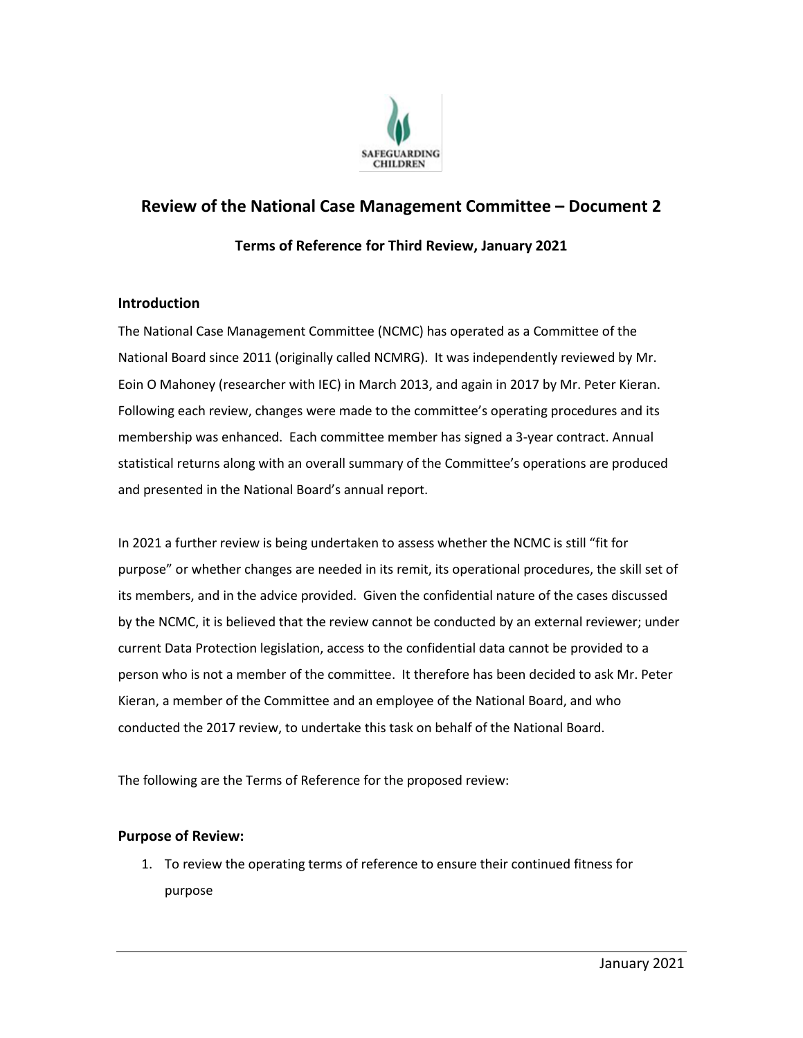

# **Review of the National Case Management Committee – Document 2**

## **Terms of Reference for Third Review, January 2021**

#### **Introduction**

The National Case Management Committee (NCMC) has operated as a Committee of the National Board since 2011 (originally called NCMRG). It was independently reviewed by Mr. Eoin O Mahoney (researcher with IEC) in March 2013, and again in 2017 by Mr. Peter Kieran. Following each review, changes were made to the committee's operating procedures and its membership was enhanced. Each committee member has signed a 3-year contract. Annual statistical returns along with an overall summary of the Committee's operations are produced and presented in the National Board's annual report.

In 2021 a further review is being undertaken to assess whether the NCMC is still "fit for purpose" or whether changes are needed in its remit, its operational procedures, the skill set of its members, and in the advice provided. Given the confidential nature of the cases discussed by the NCMC, it is believed that the review cannot be conducted by an external reviewer; under current Data Protection legislation, access to the confidential data cannot be provided to a person who is not a member of the committee. It therefore has been decided to ask Mr. Peter Kieran, a member of the Committee and an employee of the National Board, and who conducted the 2017 review, to undertake this task on behalf of the National Board.

The following are the Terms of Reference for the proposed review:

#### **Purpose of Review:**

1. To review the operating terms of reference to ensure their continued fitness for purpose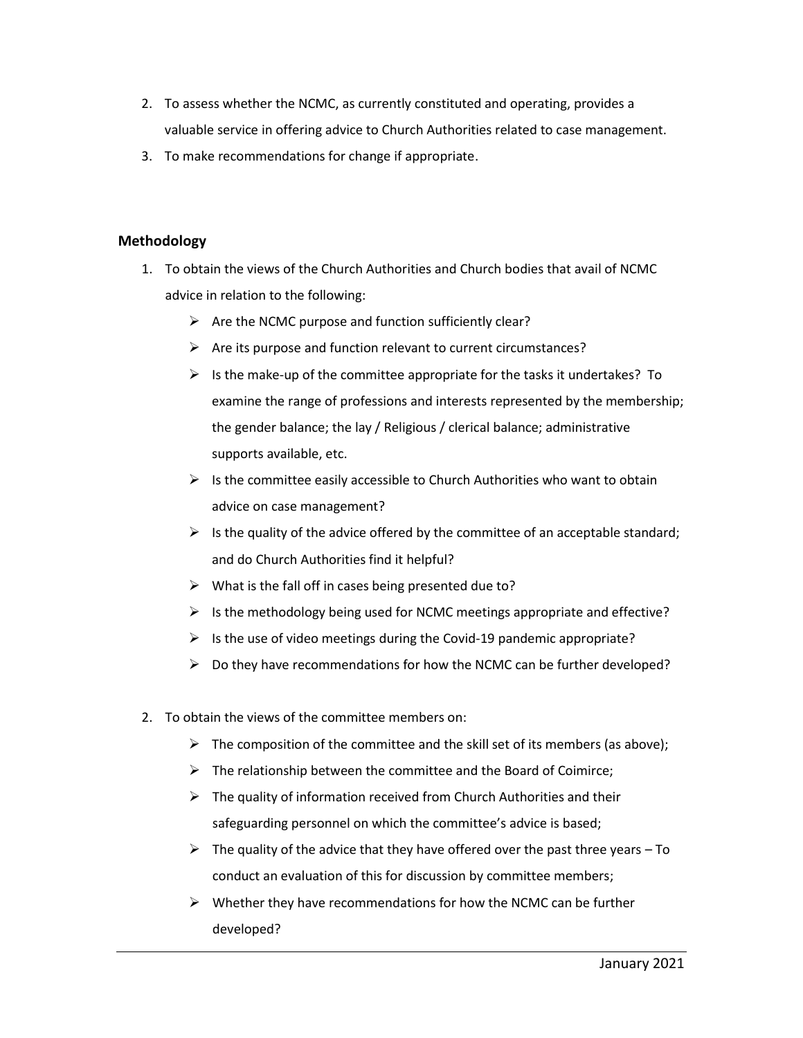- 2. To assess whether the NCMC, as currently constituted and operating, provides a valuable service in offering advice to Church Authorities related to case management.
- 3. To make recommendations for change if appropriate.

### **Methodology**

- 1. To obtain the views of the Church Authorities and Church bodies that avail of NCMC advice in relation to the following:
	- $\triangleright$  Are the NCMC purpose and function sufficiently clear?
	- $\triangleright$  Are its purpose and function relevant to current circumstances?
	- $\triangleright$  Is the make-up of the committee appropriate for the tasks it undertakes? To examine the range of professions and interests represented by the membership; the gender balance; the lay / Religious / clerical balance; administrative supports available, etc.
	- $\triangleright$  Is the committee easily accessible to Church Authorities who want to obtain advice on case management?
	- $\triangleright$  Is the quality of the advice offered by the committee of an acceptable standard; and do Church Authorities find it helpful?
	- $\triangleright$  What is the fall off in cases being presented due to?
	- $\triangleright$  Is the methodology being used for NCMC meetings appropriate and effective?
	- $\triangleright$  Is the use of video meetings during the Covid-19 pandemic appropriate?
	- $\triangleright$  Do they have recommendations for how the NCMC can be further developed?
- 2. To obtain the views of the committee members on:
	- $\triangleright$  The composition of the committee and the skill set of its members (as above);
	- $\triangleright$  The relationship between the committee and the Board of Coimirce;
	- $\triangleright$  The quality of information received from Church Authorities and their safeguarding personnel on which the committee's advice is based;
	- $\triangleright$  The quality of the advice that they have offered over the past three years To conduct an evaluation of this for discussion by committee members;
	- $\triangleright$  Whether they have recommendations for how the NCMC can be further developed?